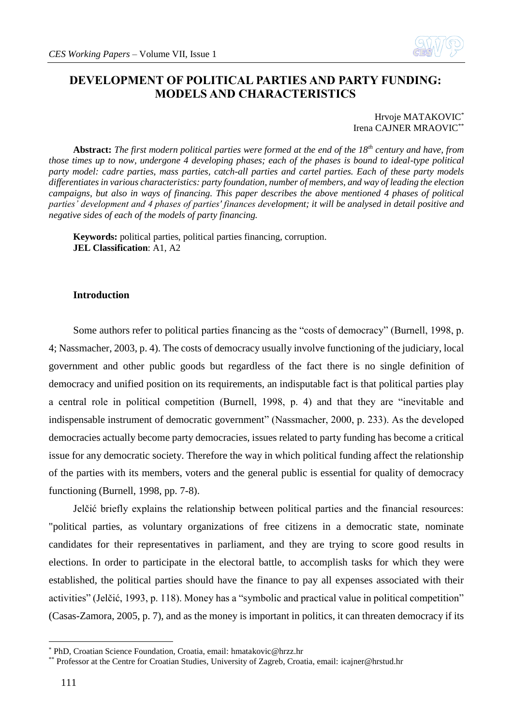

# **DEVELOPMENT OF POLITICAL PARTIES AND PARTY FUNDING: MODELS AND CHARACTERISTICS**

Hrvoje MATAKOVIC<sup>\*</sup> Irena CAJNER MRAOVIC\*\*

**Abstract:** *The first modern political parties were formed at the end of the 18th century and have, from those times up to now, undergone 4 developing phases; each of the phases is bound to ideal-type political party model: cadre parties, mass parties, catch-all parties and cartel parties. Each of these party models differentiates in various characteristics: party foundation, number of members, and way of leading the election campaigns, but also in ways of financing. This paper describes the above mentioned 4 phases of political parties' development and 4 phases of parties' finances development; it will be analysed in detail positive and negative sides of each of the models of party financing.*

**Keywords:** political parties, political parties financing, corruption. **JEL Classification**: A1, A2

#### **Introduction**

Some authors refer to political parties financing as the "costs of democracy" (Burnell, 1998, p. 4; Nassmacher, 2003, p. 4). The costs of democracy usually involve functioning of the judiciary, local government and other public goods but regardless of the fact there is no single definition of democracy and unified position on its requirements, an indisputable fact is that political parties play a central role in political competition (Burnell, 1998, p. 4) and that they are "inevitable and indispensable instrument of democratic government" (Nassmacher, 2000, p. 233). As the developed democracies actually become party democracies, issues related to party funding has become a critical issue for any democratic society. Therefore the way in which political funding affect the relationship of the parties with its members, voters and the general public is essential for quality of democracy functioning (Burnell, 1998, pp. 7-8).

Jelčić briefly explains the relationship between political parties and the financial resources: "political parties, as voluntary organizations of free citizens in a democratic state, nominate candidates for their representatives in parliament, and they are trying to score good results in elections. In order to participate in the electoral battle, to accomplish tasks for which they were established, the political parties should have the finance to pay all expenses associated with their activities" (Jelčić, 1993, p. 118). Money has a "symbolic and practical value in political competition" (Casas-Zamora, 2005, p. 7), and as the money is important in politics, it can threaten democracy if its

<sup>\*</sup> PhD, Croatian Science Foundation, Croatia, email: [hmatakovic@hrzz.hr](mailto:hmatakovic@hrzz.hr)

<sup>\*\*</sup> Professor at the Centre for Croatian Studies, University of Zagreb, Croatia, email: [icajner@hrstud.hr](mailto:icajner@hrstud.hr)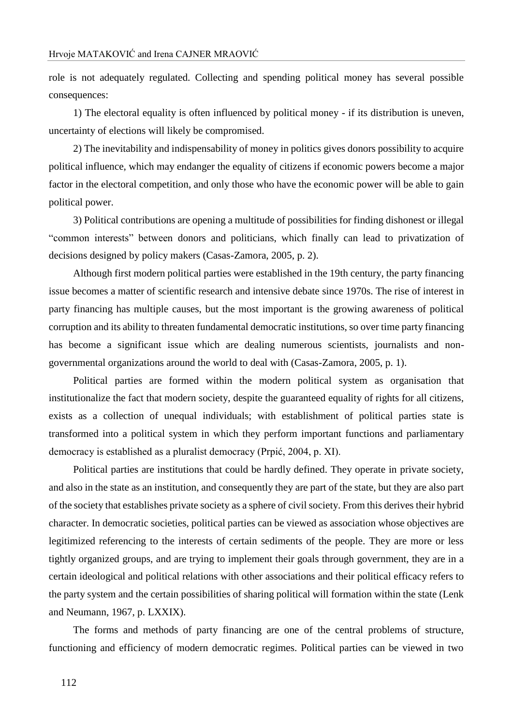role is not adequately regulated. Collecting and spending political money has several possible consequences:

1) The electoral equality is often influenced by political money - if its distribution is uneven, uncertainty of elections will likely be compromised.

2) The inevitability and indispensability of money in politics gives donors possibility to acquire political influence, which may endanger the equality of citizens if economic powers become a major factor in the electoral competition, and only those who have the economic power will be able to gain political power.

3) Political contributions are opening a multitude of possibilities for finding dishonest or illegal "common interests" between donors and politicians, which finally can lead to privatization of decisions designed by policy makers (Casas-Zamora, 2005, p. 2).

Although first modern political parties were established in the 19th century, the party financing issue becomes a matter of scientific research and intensive debate since 1970s. The rise of interest in party financing has multiple causes, but the most important is the growing awareness of political corruption and its ability to threaten fundamental democratic institutions, so over time party financing has become a significant issue which are dealing numerous scientists, journalists and nongovernmental organizations around the world to deal with (Casas-Zamora, 2005, p. 1).

Political parties are formed within the modern political system as organisation that institutionalize the fact that modern society, despite the guaranteed equality of rights for all citizens, exists as a collection of unequal individuals; with establishment of political parties state is transformed into a political system in which they perform important functions and parliamentary democracy is established as a pluralist democracy (Prpić, 2004, p. XI).

Political parties are institutions that could be hardly defined. They operate in private society, and also in the state as an institution, and consequently they are part of the state, but they are also part of the society that establishes private society as a sphere of civil society. From this derives their hybrid character. In democratic societies, political parties can be viewed as association whose objectives are legitimized referencing to the interests of certain sediments of the people. They are more or less tightly organized groups, and are trying to implement their goals through government, they are in a certain ideological and political relations with other associations and their political efficacy refers to the party system and the certain possibilities of sharing political will formation within the state (Lenk and Neumann, 1967, p. LXXIX).

The forms and methods of party financing are one of the central problems of structure, functioning and efficiency of modern democratic regimes. Political parties can be viewed in two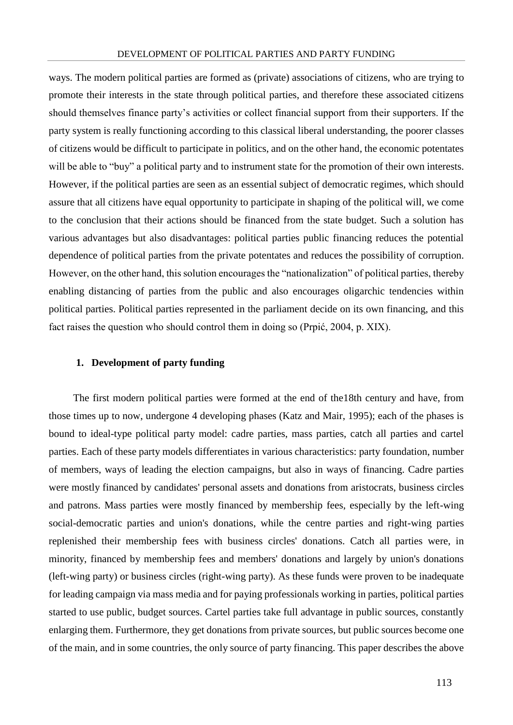ways. The modern political parties are formed as (private) associations of citizens, who are trying to promote their interests in the state through political parties, and therefore these associated citizens should themselves finance party's activities or collect financial support from their supporters. If the party system is really functioning according to this classical liberal understanding, the poorer classes of citizens would be difficult to participate in politics, and on the other hand, the economic potentates will be able to "buy" a political party and to instrument state for the promotion of their own interests. However, if the political parties are seen as an essential subject of democratic regimes, which should assure that all citizens have equal opportunity to participate in shaping of the political will, we come to the conclusion that their actions should be financed from the state budget. Such a solution has various advantages but also disadvantages: political parties public financing reduces the potential dependence of political parties from the private potentates and reduces the possibility of corruption. However, on the other hand, this solution encourages the "nationalization" of political parties, thereby enabling distancing of parties from the public and also encourages oligarchic tendencies within political parties. Political parties represented in the parliament decide on its own financing, and this fact raises the question who should control them in doing so (Prpić, 2004, p. XIX).

# **1. Development of party funding**

The first modern political parties were formed at the end of the18th century and have, from those times up to now, undergone 4 developing phases (Katz and Mair, 1995); each of the phases is bound to ideal-type political party model: cadre parties, mass parties, catch all parties and cartel parties. Each of these party models differentiates in various characteristics: party foundation, number of members, ways of leading the election campaigns, but also in ways of financing. Cadre parties were mostly financed by candidates' personal assets and donations from aristocrats, business circles and patrons. Mass parties were mostly financed by membership fees, especially by the left-wing social-democratic parties and union's donations, while the centre parties and right-wing parties replenished their membership fees with business circles' donations. Catch all parties were, in minority, financed by membership fees and members' donations and largely by union's donations (left-wing party) or business circles (right-wing party). As these funds were proven to be inadequate for leading campaign via mass media and for paying professionals working in parties, political parties started to use public, budget sources. Cartel parties take full advantage in public sources, constantly enlarging them. Furthermore, they get donations from private sources, but public sources become one of the main, and in some countries, the only source of party financing. This paper describes the above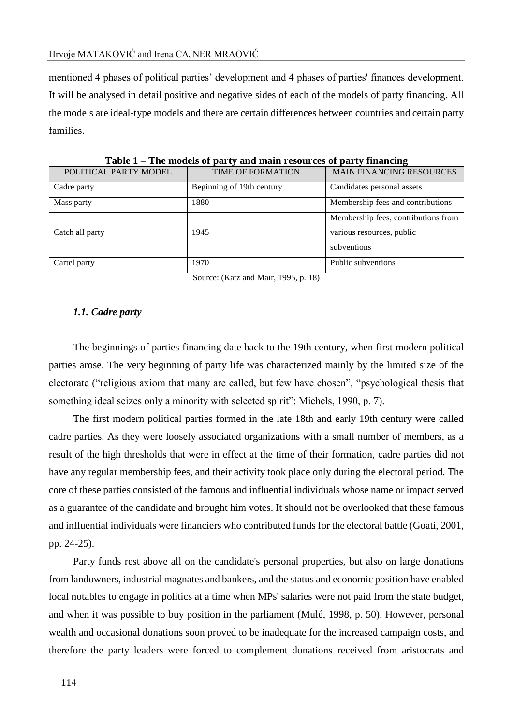mentioned 4 phases of political parties' development and 4 phases of parties' finances development. It will be analysed in detail positive and negative sides of each of the models of party financing. All the models are ideal-type models and there are certain differences between countries and certain party families.

|                       |                           | $\overline{\phantom{a}}$                                                        |
|-----------------------|---------------------------|---------------------------------------------------------------------------------|
| POLITICAL PARTY MODEL | <b>TIME OF FORMATION</b>  | <b>MAIN FINANCING RESOURCES</b>                                                 |
| Cadre party           | Beginning of 19th century | Candidates personal assets                                                      |
| Mass party            | 1880                      | Membership fees and contributions                                               |
| Catch all party       | 1945                      | Membership fees, contributions from<br>various resources, public<br>subventions |
| Cartel party          | 1970                      | Public subventions                                                              |

**Table 1 – The models of party and main resources of party financing**

Source: (Katz and Mair, 1995, p. 18)

### *1.1. Cadre party*

The beginnings of parties financing date back to the 19th century, when first modern political parties arose. The very beginning of party life was characterized mainly by the limited size of the electorate ("religious axiom that many are called, but few have chosen", "psychological thesis that something ideal seizes only a minority with selected spirit": Michels, 1990, p. 7).

The first modern political parties formed in the late 18th and early 19th century were called cadre parties. As they were loosely associated organizations with a small number of members, as a result of the high thresholds that were in effect at the time of their formation, cadre parties did not have any regular membership fees, and their activity took place only during the electoral period. The core of these parties consisted of the famous and influential individuals whose name or impact served as a guarantee of the candidate and brought him votes. It should not be overlooked that these famous and influential individuals were financiers who contributed funds for the electoral battle (Goati, 2001, pp. 24-25).

Party funds rest above all on the candidate's personal properties, but also on large donations from landowners, industrial magnates and bankers, and the status and economic position have enabled local notables to engage in politics at a time when MPs' salaries were not paid from the state budget, and when it was possible to buy position in the parliament (Mulé, 1998, p. 50). However, personal wealth and occasional donations soon proved to be inadequate for the increased campaign costs, and therefore the party leaders were forced to complement donations received from aristocrats and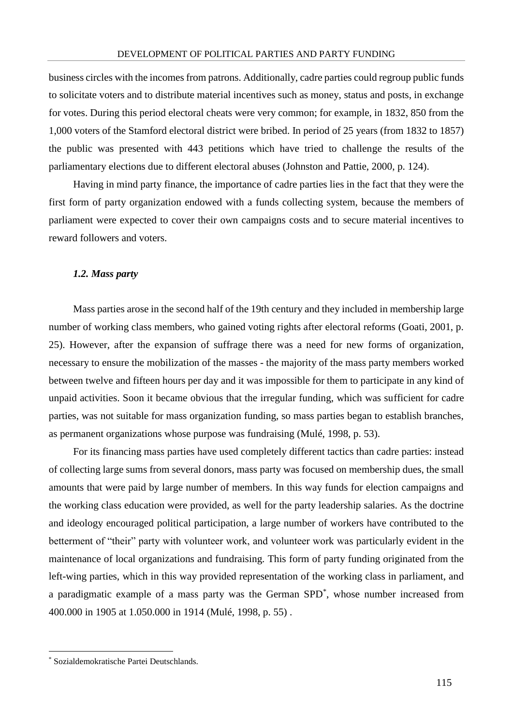business circles with the incomes from patrons. Additionally, cadre parties could regroup public funds to solicitate voters and to distribute material incentives such as money, status and posts, in exchange for votes. During this period electoral cheats were very common; for example, in 1832, 850 from the 1,000 voters of the Stamford electoral district were bribed. In period of 25 years (from 1832 to 1857) the public was presented with 443 petitions which have tried to challenge the results of the parliamentary elections due to different electoral abuses (Johnston and Pattie, 2000, p. 124).

Having in mind party finance, the importance of cadre parties lies in the fact that they were the first form of party organization endowed with a funds collecting system, because the members of parliament were expected to cover their own campaigns costs and to secure material incentives to reward followers and voters.

### *1.2. Mass party*

Mass parties arose in the second half of the 19th century and they included in membership large number of working class members, who gained voting rights after electoral reforms (Goati, 2001, p. 25). However, after the expansion of suffrage there was a need for new forms of organization, necessary to ensure the mobilization of the masses - the majority of the mass party members worked between twelve and fifteen hours per day and it was impossible for them to participate in any kind of unpaid activities. Soon it became obvious that the irregular funding, which was sufficient for cadre parties, was not suitable for mass organization funding, so mass parties began to establish branches, as permanent organizations whose purpose was fundraising (Mulé, 1998, p. 53).

For its financing mass parties have used completely different tactics than cadre parties: instead of collecting large sums from several donors, mass party was focused on membership dues, the small amounts that were paid by large number of members. In this way funds for election campaigns and the working class education were provided, as well for the party leadership salaries. As the doctrine and ideology encouraged political participation, a large number of workers have contributed to the betterment of "their" party with volunteer work, and volunteer work was particularly evident in the maintenance of local organizations and fundraising. This form of party funding originated from the left-wing parties, which in this way provided representation of the working class in parliament, and a paradigmatic example of a mass party was the German SPD<sup>\*</sup>, whose number increased from 400.000 in 1905 at 1.050.000 in 1914 (Mulé, 1998, p. 55) .

<sup>\*</sup> Sozialdemokratische Partei Deutschlands.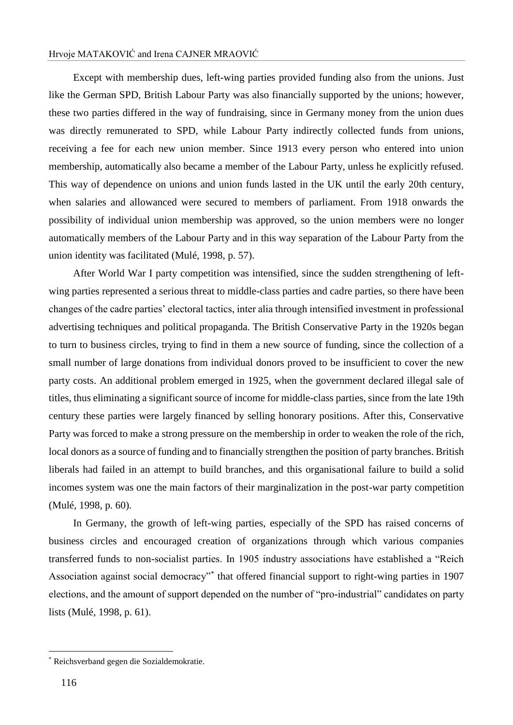## Hrvoje MATAKOVIĆ and Irena CAJNER MRAOVIĆ

Except with membership dues, left-wing parties provided funding also from the unions. Just like the German SPD, British Labour Party was also financially supported by the unions; however, these two parties differed in the way of fundraising, since in Germany money from the union dues was directly remunerated to SPD, while Labour Party indirectly collected funds from unions, receiving a fee for each new union member. Since 1913 every person who entered into union membership, automatically also became a member of the Labour Party, unless he explicitly refused. This way of dependence on unions and union funds lasted in the UK until the early 20th century, when salaries and allowanced were secured to members of parliament. From 1918 onwards the possibility of individual union membership was approved, so the union members were no longer automatically members of the Labour Party and in this way separation of the Labour Party from the union identity was facilitated (Mulé, 1998, p. 57).

After World War I party competition was intensified, since the sudden strengthening of leftwing parties represented a serious threat to middle-class parties and cadre parties, so there have been changes of the cadre parties' electoral tactics, inter alia through intensified investment in professional advertising techniques and political propaganda. The British Conservative Party in the 1920s began to turn to business circles, trying to find in them a new source of funding, since the collection of a small number of large donations from individual donors proved to be insufficient to cover the new party costs. An additional problem emerged in 1925, when the government declared illegal sale of titles, thus eliminating a significant source of income for middle-class parties, since from the late 19th century these parties were largely financed by selling honorary positions. After this, Conservative Party was forced to make a strong pressure on the membership in order to weaken the role of the rich, local donors as a source of funding and to financially strengthen the position of party branches. British liberals had failed in an attempt to build branches, and this organisational failure to build a solid incomes system was one the main factors of their marginalization in the post-war party competition (Mulé, 1998, p. 60).

In Germany, the growth of left-wing parties, especially of the SPD has raised concerns of business circles and encouraged creation of organizations through which various companies transferred funds to non-socialist parties. In 1905 industry associations have established a "Reich Association against social democracy"\* that offered financial support to right-wing parties in 1907 elections, and the amount of support depended on the number of "pro-industrial" candidates on party lists (Mulé, 1998, p. 61).

<sup>\*</sup> Reichsverband gegen die Sozialdemokratie.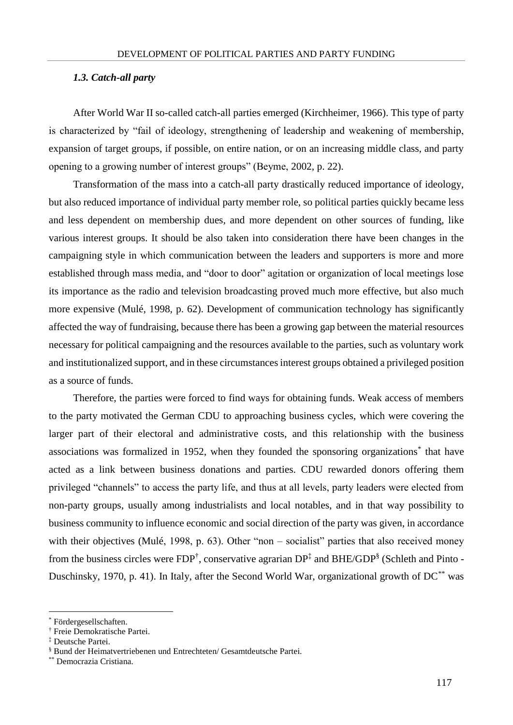#### *1.3. Catch-all party*

After World War II so-called catch-all parties emerged (Kirchheimer, 1966). This type of party is characterized by "fail of ideology, strengthening of leadership and weakening of membership, expansion of target groups, if possible, on entire nation, or on an increasing middle class, and party opening to a growing number of interest groups" (Beyme, 2002, p. 22).

Transformation of the mass into a catch-all party drastically reduced importance of ideology, but also reduced importance of individual party member role, so political parties quickly became less and less dependent on membership dues, and more dependent on other sources of funding, like various interest groups. It should be also taken into consideration there have been changes in the campaigning style in which communication between the leaders and supporters is more and more established through mass media, and "door to door" agitation or organization of local meetings lose its importance as the radio and television broadcasting proved much more effective, but also much more expensive (Mulé, 1998, p. 62). Development of communication technology has significantly affected the way of fundraising, because there has been a growing gap between the material resources necessary for political campaigning and the resources available to the parties, such as voluntary work and institutionalized support, and in these circumstances interest groups obtained a privileged position as a source of funds.

Therefore, the parties were forced to find ways for obtaining funds. Weak access of members to the party motivated the German CDU to approaching business cycles, which were covering the larger part of their electoral and administrative costs, and this relationship with the business associations was formalized in 1952, when they founded the sponsoring organizations<sup>\*</sup> that have acted as a link between business donations and parties. CDU rewarded donors offering them privileged "channels" to access the party life, and thus at all levels, party leaders were elected from non-party groups, usually among industrialists and local notables, and in that way possibility to business community to influence economic and social direction of the party was given, in accordance with their objectives (Mulé, 1998, p. 63). Other "non – socialist" parties that also received money from the business circles were FDP<sup>†</sup>, conservative agrarian DP<sup>‡</sup> and BHE/GDP<sup>§</sup> (Schleth and Pinto -Duschinsky, 1970, p. 41). In Italy, after the Second World War, organizational growth of  $DC^{**}$  was

<u>.</u>

<sup>\*</sup> Fördergesellschaften.

<sup>†</sup> Freie Demokratische Partei.

<sup>‡</sup> Deutsche Partei.

<sup>§</sup> Bund der Heimatvertriebenen und Entrechteten/ Gesamtdeutsche Partei.

<sup>\*\*</sup> Democrazia Cristiana.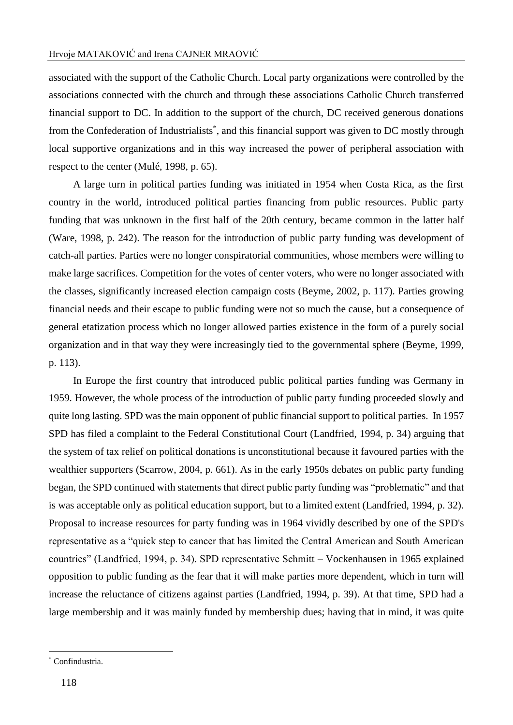associated with the support of the Catholic Church. Local party organizations were controlled by the associations connected with the church and through these associations Catholic Church transferred financial support to DC. In addition to the support of the church, DC received generous donations from the Confederation of Industrialists<sup>\*</sup>, and this financial support was given to DC mostly through local supportive organizations and in this way increased the power of peripheral association with respect to the center (Mulé, 1998, p. 65).

A large turn in political parties funding was initiated in 1954 when Costa Rica, as the first country in the world, introduced political parties financing from public resources. Public party funding that was unknown in the first half of the 20th century, became common in the latter half (Ware, 1998, p. 242). The reason for the introduction of public party funding was development of catch-all parties. Parties were no longer conspiratorial communities, whose members were willing to make large sacrifices. Competition for the votes of center voters, who were no longer associated with the classes, significantly increased election campaign costs (Beyme, 2002, p. 117). Parties growing financial needs and their escape to public funding were not so much the cause, but a consequence of general etatization process which no longer allowed parties existence in the form of a purely social organization and in that way they were increasingly tied to the governmental sphere (Beyme, 1999, p. 113).

In Europe the first country that introduced public political parties funding was Germany in 1959. However, the whole process of the introduction of public party funding proceeded slowly and quite long lasting. SPD was the main opponent of public financial support to political parties. In 1957 SPD has filed a complaint to the Federal Constitutional Court (Landfried, 1994, p. 34) arguing that the system of tax relief on political donations is unconstitutional because it favoured parties with the wealthier supporters (Scarrow, 2004, p. 661). As in the early 1950s debates on public party funding began, the SPD continued with statements that direct public party funding was "problematic" and that is was acceptable only as political education support, but to a limited extent (Landfried, 1994, p. 32). Proposal to increase resources for party funding was in 1964 vividly described by one of the SPD's representative as a "quick step to cancer that has limited the Central American and South American countries" (Landfried, 1994, p. 34). SPD representative Schmitt – Vockenhausen in 1965 explained opposition to public funding as the fear that it will make parties more dependent, which in turn will increase the reluctance of citizens against parties (Landfried, 1994, p. 39). At that time, SPD had a large membership and it was mainly funded by membership dues; having that in mind, it was quite

<sup>\*</sup> Confindustria.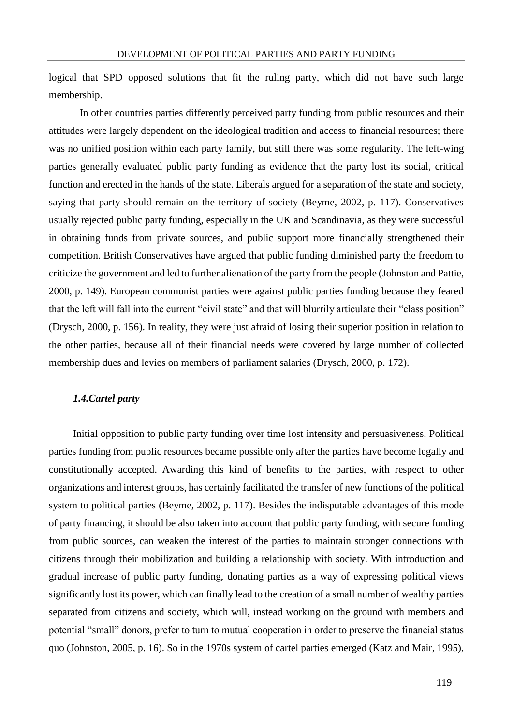logical that SPD opposed solutions that fit the ruling party, which did not have such large membership.

In other countries parties differently perceived party funding from public resources and their attitudes were largely dependent on the ideological tradition and access to financial resources; there was no unified position within each party family, but still there was some regularity. The left-wing parties generally evaluated public party funding as evidence that the party lost its social, critical function and erected in the hands of the state. Liberals argued for a separation of the state and society, saying that party should remain on the territory of society (Beyme, 2002, p. 117). Conservatives usually rejected public party funding, especially in the UK and Scandinavia, as they were successful in obtaining funds from private sources, and public support more financially strengthened their competition. British Conservatives have argued that public funding diminished party the freedom to criticize the government and led to further alienation of the party from the people (Johnston and Pattie, 2000, p. 149). European communist parties were against public parties funding because they feared that the left will fall into the current "civil state" and that will blurrily articulate their "class position" (Drysch, 2000, p. 156). In reality, they were just afraid of losing their superior position in relation to the other parties, because all of their financial needs were covered by large number of collected membership dues and levies on members of parliament salaries (Drysch, 2000, p. 172).

### *1.4.Cartel party*

Initial opposition to public party funding over time lost intensity and persuasiveness. Political parties funding from public resources became possible only after the parties have become legally and constitutionally accepted. Awarding this kind of benefits to the parties, with respect to other organizations and interest groups, has certainly facilitated the transfer of new functions of the political system to political parties (Beyme, 2002, p. 117). Besides the indisputable advantages of this mode of party financing, it should be also taken into account that public party funding, with secure funding from public sources, can weaken the interest of the parties to maintain stronger connections with citizens through their mobilization and building a relationship with society. With introduction and gradual increase of public party funding, donating parties as a way of expressing political views significantly lost its power, which can finally lead to the creation of a small number of wealthy parties separated from citizens and society, which will, instead working on the ground with members and potential "small" donors, prefer to turn to mutual cooperation in order to preserve the financial status quo (Johnston, 2005, p. 16). So in the 1970s system of cartel parties emerged (Katz and Mair, 1995),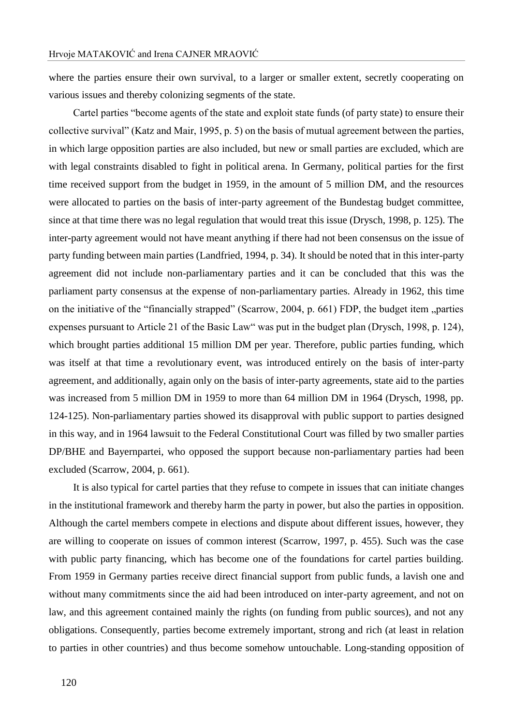where the parties ensure their own survival, to a larger or smaller extent, secretly cooperating on various issues and thereby colonizing segments of the state.

Cartel parties "become agents of the state and exploit state funds (of party state) to ensure their collective survival" (Katz and Mair, 1995, p. 5) on the basis of mutual agreement between the parties, in which large opposition parties are also included, but new or small parties are excluded, which are with legal constraints disabled to fight in political arena. In Germany, political parties for the first time received support from the budget in 1959, in the amount of 5 million DM, and the resources were allocated to parties on the basis of inter-party agreement of the Bundestag budget committee, since at that time there was no legal regulation that would treat this issue (Drysch, 1998, p. 125). The inter-party agreement would not have meant anything if there had not been consensus on the issue of party funding between main parties (Landfried, 1994, p. 34). It should be noted that in this inter-party agreement did not include non-parliamentary parties and it can be concluded that this was the parliament party consensus at the expense of non-parliamentary parties. Already in 1962, this time on the initiative of the "financially strapped" (Scarrow, 2004, p. 661) FDP, the budget item "parties expenses pursuant to Article 21 of the Basic Law" was put in the budget plan (Drysch, 1998, p. 124), which brought parties additional 15 million DM per year. Therefore, public parties funding, which was itself at that time a revolutionary event, was introduced entirely on the basis of inter-party agreement, and additionally, again only on the basis of inter-party agreements, state aid to the parties was increased from 5 million DM in 1959 to more than 64 million DM in 1964 (Drysch, 1998, pp. 124-125). Non-parliamentary parties showed its disapproval with public support to parties designed in this way, and in 1964 lawsuit to the Federal Constitutional Court was filled by two smaller parties DP/BHE and Bayernpartei, who opposed the support because non-parliamentary parties had been excluded (Scarrow, 2004, p. 661).

It is also typical for cartel parties that they refuse to compete in issues that can initiate changes in the institutional framework and thereby harm the party in power, but also the parties in opposition. Although the cartel members compete in elections and dispute about different issues, however, they are willing to cooperate on issues of common interest (Scarrow, 1997, p. 455). Such was the case with public party financing, which has become one of the foundations for cartel parties building. From 1959 in Germany parties receive direct financial support from public funds, a lavish one and without many commitments since the aid had been introduced on inter-party agreement, and not on law, and this agreement contained mainly the rights (on funding from public sources), and not any obligations. Consequently, parties become extremely important, strong and rich (at least in relation to parties in other countries) and thus become somehow untouchable. Long-standing opposition of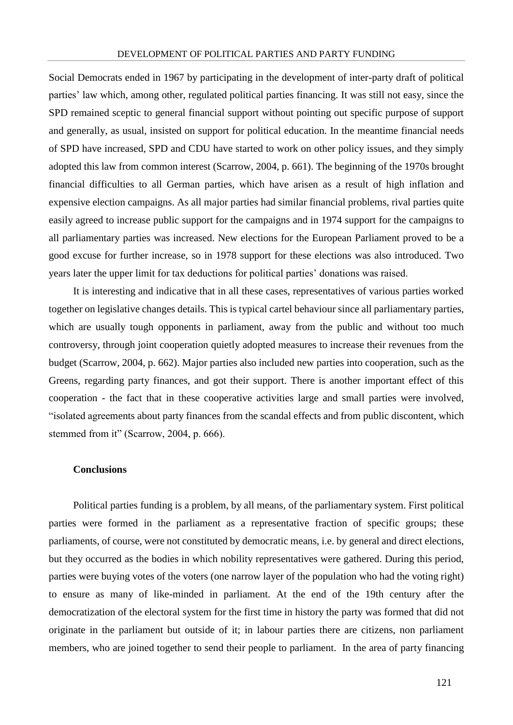Social Democrats ended in 1967 by participating in the development of inter-party draft of political parties' law which, among other, regulated political parties financing. It was still not easy, since the SPD remained sceptic to general financial support without pointing out specific purpose of support and generally, as usual, insisted on support for political education. In the meantime financial needs of SPD have increased, SPD and CDU have started to work on other policy issues, and they simply adopted this law from common interest (Scarrow, 2004, p. 661). The beginning of the 1970s brought financial difficulties to all German parties, which have arisen as a result of high inflation and expensive election campaigns. As all major parties had similar financial problems, rival parties quite easily agreed to increase public support for the campaigns and in 1974 support for the campaigns to all parliamentary parties was increased. New elections for the European Parliament proved to be a good excuse for further increase, so in 1978 support for these elections was also introduced. Two years later the upper limit for tax deductions for political parties' donations was raised.

It is interesting and indicative that in all these cases, representatives of various parties worked together on legislative changes details. This is typical cartel behaviour since all parliamentary parties, which are usually tough opponents in parliament, away from the public and without too much controversy, through joint cooperation quietly adopted measures to increase their revenues from the budget (Scarrow, 2004, p. 662). Major parties also included new parties into cooperation, such as the Greens, regarding party finances, and got their support. There is another important effect of this cooperation - the fact that in these cooperative activities large and small parties were involved, "isolated agreements about party finances from the scandal effects and from public discontent, which stemmed from it" (Scarrow, 2004, p. 666).

## **Conclusions**

Political parties funding is a problem, by all means, of the parliamentary system. First political parties were formed in the parliament as a representative fraction of specific groups; these parliaments, of course, were not constituted by democratic means, i.e. by general and direct elections, but they occurred as the bodies in which nobility representatives were gathered. During this period, parties were buying votes of the voters (one narrow layer of the population who had the voting right) to ensure as many of like-minded in parliament. At the end of the 19th century after the democratization of the electoral system for the first time in history the party was formed that did not originate in the parliament but outside of it; in labour parties there are citizens, non parliament members, who are joined together to send their people to parliament. In the area of party financing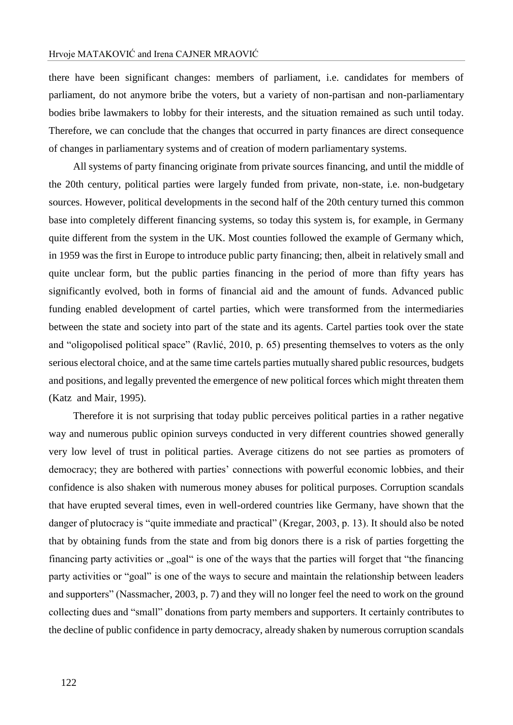there have been significant changes: members of parliament, i.e. candidates for members of parliament, do not anymore bribe the voters, but a variety of non-partisan and non-parliamentary bodies bribe lawmakers to lobby for their interests, and the situation remained as such until today. Therefore, we can conclude that the changes that occurred in party finances are direct consequence of changes in parliamentary systems and of creation of modern parliamentary systems.

All systems of party financing originate from private sources financing, and until the middle of the 20th century, political parties were largely funded from private, non-state, i.e. non-budgetary sources. However, political developments in the second half of the 20th century turned this common base into completely different financing systems, so today this system is, for example, in Germany quite different from the system in the UK. Most counties followed the example of Germany which, in 1959 was the first in Europe to introduce public party financing; then, albeit in relatively small and quite unclear form, but the public parties financing in the period of more than fifty years has significantly evolved, both in forms of financial aid and the amount of funds. Advanced public funding enabled development of cartel parties, which were transformed from the intermediaries between the state and society into part of the state and its agents. Cartel parties took over the state and "oligopolised political space" (Ravlić, 2010, p. 65) presenting themselves to voters as the only serious electoral choice, and at the same time cartels parties mutually shared public resources, budgets and positions, and legally prevented the emergence of new political forces which might threaten them (Katz and Mair, 1995).

Therefore it is not surprising that today public perceives political parties in a rather negative way and numerous public opinion surveys conducted in very different countries showed generally very low level of trust in political parties. Average citizens do not see parties as promoters of democracy; they are bothered with parties' connections with powerful economic lobbies, and their confidence is also shaken with numerous money abuses for political purposes. Corruption scandals that have erupted several times, even in well-ordered countries like Germany, have shown that the danger of plutocracy is "quite immediate and practical" (Kregar, 2003, p. 13). It should also be noted that by obtaining funds from the state and from big donors there is a risk of parties forgetting the financing party activities or "goal" is one of the ways that the parties will forget that "the financing" party activities or "goal" is one of the ways to secure and maintain the relationship between leaders and supporters" (Nassmacher, 2003, p. 7) and they will no longer feel the need to work on the ground collecting dues and "small" donations from party members and supporters. It certainly contributes to the decline of public confidence in party democracy, already shaken by numerous corruption scandals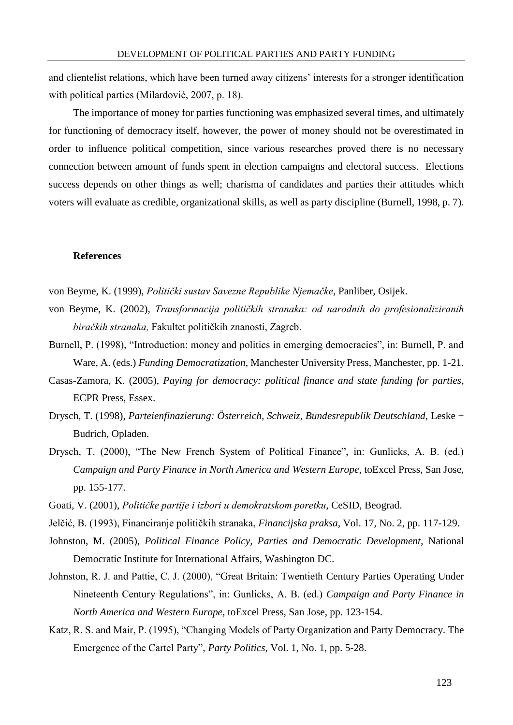and clientelist relations, which have been turned away citizens' interests for a stronger identification with political parties (Milardović, 2007, p. 18).

The importance of money for parties functioning was emphasized several times, and ultimately for functioning of democracy itself, however, the power of money should not be overestimated in order to influence political competition, since various researches proved there is no necessary connection between amount of funds spent in election campaigns and electoral success. Elections success depends on other things as well; charisma of candidates and parties their attitudes which voters will evaluate as credible, organizational skills, as well as party discipline (Burnell, 1998, p. 7).

### **References**

- von Beyme, K. (1999), *Politički sustav Savezne Republike Njemačke*, Panliber, Osijek.
- von Beyme, K. (2002), *Transformacija političkih stranaka: od narodnih do profesionaliziranih biračkih stranaka,* Fakultet političkih znanosti, Zagreb.
- Burnell, P. (1998), "Introduction: money and politics in emerging democracies", in: Burnell, P. and Ware, A. (eds.) *Funding Democratization*, Manchester University Press, Manchester, pp. 1-21.
- Casas-Zamora, K. (2005), *Paying for democracy: political finance and state funding for parties*, ECPR Press, Essex.
- Drysch, T. (1998), *Parteienfinazierung: Österreich, Schweiz, Bundesrepublik Deutschland*, Leske + Budrich, Opladen.
- Drysch, T. (2000), "The New French System of Political Finance", in: Gunlicks, A. B. (ed.) *Campaign and Party Finance in North America and Western Europe*, toExcel Press, San Jose, pp. 155-177.
- Goati, V. (2001), *Političke partije i izbori u demokratskom poretku*, CeSID, Beograd.
- Jelčić, B. (1993), Financiranje političkih stranaka, *Financijska praksa*, Vol. 17, No. 2, pp. 117-129.
- Johnston, M. (2005), *Political Finance Policy, Parties and Democratic Development,* National Democratic Institute for International Affairs, Washington DC.
- Johnston, R. J. and Pattie, C. J. (2000), "Great Britain: Twentieth Century Parties Operating Under Nineteenth Century Regulations", in: Gunlicks, A. B. (ed.) *Campaign and Party Finance in North America and Western Europe*, toExcel Press, San Jose, pp. 123-154.
- Katz, R. S. and Mair, P. (1995), "Changing Models of Party Organization and Party Democracy. The Emergence of the Cartel Party", *Party Politics*, Vol. 1, No. 1, pp. 5-28.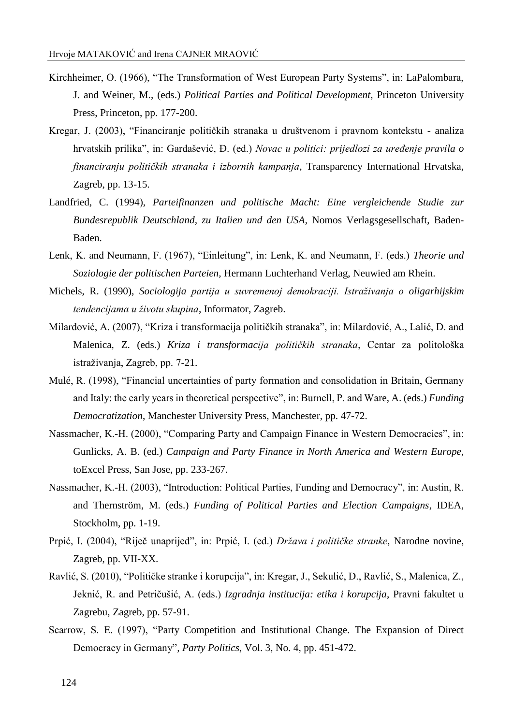- Kirchheimer, O. (1966), "The Transformation of West European Party Systems", in: LaPalombara, J. and Weiner, M., (eds.) *Political Parties and Political Development,* Princeton University Press, Princeton, pp. 177-200.
- Kregar, J. (2003), "Financiranje političkih stranaka u društvenom i pravnom kontekstu analiza hrvatskih prilika", in: Gardašević, Đ. (ed.) *Novac u politici: prijedlozi za uređenje pravila o financiranju političkih stranaka i izbornih kampanja*, Transparency International Hrvatska, Zagreb, pp. 13-15.
- Landfried, C. (1994), *Parteifinanzen und politische Macht: Eine vergleichende Studie zur Bundesrepublik Deutschland, zu Italien und den USA*, Nomos Verlagsgesellschaft, Baden-Baden.
- Lenk, K. and Neumann, F. (1967), "Einleitung", in: Lenk, K. and Neumann, F. (eds.) *Theorie und Soziologie der politischen Parteien*, Hermann Luchterhand Verlag, Neuwied am Rhein.
- Michels, R. (1990), *Sociologija partija u suvremenoj demokraciji. Istraživanja o oligarhijskim tendencijama u životu skupina*, Informator, Zagreb.
- Milardović, A. (2007), "Kriza i transformacija političkih stranaka", in: Milardović, A., Lalić, D. and Malenica, Z. (eds.) *Kriza i transformacija političkih stranaka*, Centar za politološka istraživanja, Zagreb, pp. 7-21.
- Mulé, R. (1998), "Financial uncertainties of party formation and consolidation in Britain, Germany and Italy: the early years in theoretical perspective", in: Burnell, P. and Ware, A. (eds.) *Funding Democratization*, Manchester University Press, Manchester, pp. 47-72.
- Nassmacher, K.-H. (2000), "Comparing Party and Campaign Finance in Western Democracies", in: Gunlicks, A. B. (ed.) *Campaign and Party Finance in North America and Western Europe*, toExcel Press, San Jose, pp. 233-267.
- Nassmacher, K.-H. (2003), "Introduction: Political Parties, Funding and Democracy", in: Austin, R. and Thernström, M. (eds.) *Funding of Political Parties and Election Campaigns*, IDEA, Stockholm, pp. 1-19.
- Prpić, I. (2004), "Riječ unaprijed", in: Prpić, I. (ed.) *Država i političke stranke*, Narodne novine, Zagreb, pp. VII-XX.
- Ravlić, S. (2010), "Političke stranke i korupcija", in: Kregar, J., Sekulić, D., Ravlić, S., Malenica, Z., Jeknić, R. and Petričušić, A. (eds.) *Izgradnja institucija: etika i korupcija*, Pravni fakultet u Zagrebu, Zagreb, pp. 57-91.
- Scarrow, S. E. (1997), "Party Competition and Institutional Change. The Expansion of Direct Democracy in Germany"*, Party Politics*, Vol. 3, No. 4, pp. 451-472.